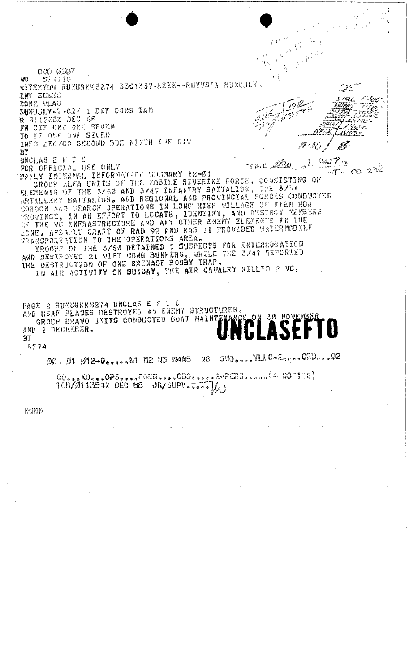$\mathcal{N}^{2}$  $e^{i\theta}$ CWO 0007  $\left\langle \cdot \right\rangle$ **STH!78** 标 RITEZYUW RUMUGKK 8274 3361337-EEEE--RUYVSII RUMUJLY. ్రా IN EEECE s<br>Sere  $\label{eq:3.1} \sum_{i=1}^N \sum_{j=1}^N \sum_{j=1}^N \sum_{j=1}^N \sum_{j=1}^N \sum_{j=1}^N \sum_{j=1}^N \sum_{j=1}^N \sum_{j=1}^N \sum_{j=1}^N \sum_{j=1}^N \sum_{j=1}^N \sum_{j=1}^N \sum_{j=1}^N \sum_{j=1}^N \sum_{j=1}^N \sum_{j=1}^N \sum_{j=1}^N \sum_{j=1}^N \sum_{j=1}^N \sum_{j=1}^N \sum_{j=1}^N \sum_{j=1}^N \sum_{j$  $e^{\rho}$  $\sqrt{\frac{9}{2}}$ zone vlaB Z RUMUJLY TEGRE I DET DONG TAM **R** 011200Z DEC 68 ֒,  $\mathcal{L}$  is the contract of  $\mathcal{L}$ - 9202 FR CTF ONE ONE SEVEN 1964 TO IF ONE ONE SEVEN ノリロシー INFO ZEN/CO SECOND BDE NINTH INF DIV Bľ  $\frac{\mu \omega}{2}$ UNCLAS E F T O Terc 220 FOR OFFICIAL USE ONLY DAILY INTERNAL INFORMATION SUMMARY 12-21<br>GROUP ALFA UNITS OF THE MOBILE RIVERINE FORCE, CONSISTING OF<br>ELEMENTS OF THE 3/60 AND 3/47 INFANTRY BATTALION, THE 3/34<br>ARTILLERY BATTALION, AND REGIONAL AND PROVINCIAL FORCES CONDU  $CD 2^{nR}$ CORDON AND SEARCH OPERATIONS IN LONG HIEP VILLAGE OF KIEN HOA PROVINCE, IN AN EFFORT TO LOCATE, IDENTIFY, AND DESTROY MEMBERS ZONE. ASSAULT CRAFT OF RAD S2 AND RAS IT FROUIDED WATERMOBILE TRANSPORTATION TO THE OPERATIONS AREA. TROOFS OF THE 3/60 DETAINED 5 SUSPECTS FOR INTERROGATION<br>AND DESTROYED 21 VIET CONG BUNKERS, WHILE THE 3/47 REPORTED<br>THE DESTRUCTION OF ONE GRENADE BOOBY TRAP.<br>IN AIR ACTIVITY ON SUNDAY, THE AIR CAVALRY KILLED 2 VC,

PAGE 2 RUMUGKK8274 UNCLAS E F T O AND USAF PLANES DESTROYED 45 ENEMY STRUCTURES. GROUP BRAVO UNITS CONDUCTED BOAT MAINTENANCE **30 NOVEMB** AND I DECEMBER. Βĩ

8274

NG SUO ... OVEL COME ... OAD... 02 ØØ, Ø1 Ø12-0.....NI N2 N3 N4N5

00 and XO = 0PS = = = 00MM = = = 0DO = = = = A = PERS = = = = (4 COPIES)<br>TOR/011359Z DEC 68 UR/SUPV = = == ) A J

**NNNN**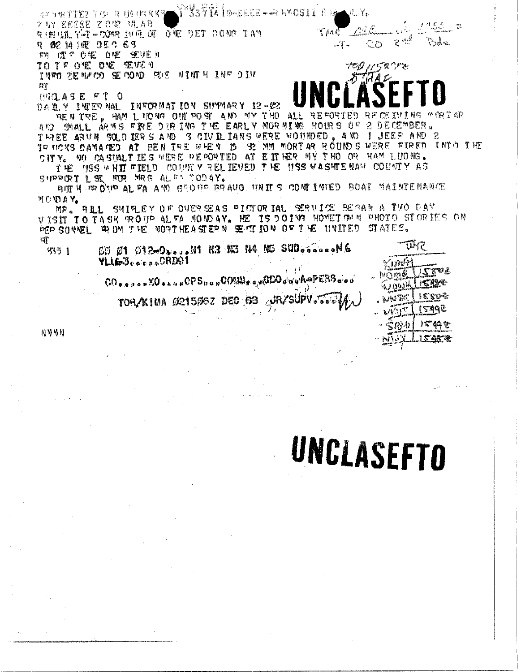Y<sup>RI</sup>SSYI4 I B-EEEE + +R FMOSIL R B + R. Y. 网络可保守生长学 医中间 计图 化聚聚酯 ケ NY 宮村直宣監 Z ON2 3月 A D تكريبهم RIMILL Y-T-COMP LUBL OT ONE DET DOME TAM  $\sqrt{m}$  $\mathcal{Z} \cong$ Pod e **2 02 14 10 05 0 6 7**  $\mathbb{C}$   $\mathbb{C}$ ...T. 10M 使产 0%定 0%定 %EVEN TO TV ONE ONE SEVEN INTO ZEAFCO SE COAD SOE WINTH INFOIN  $\mathbb{H}^n$ **UNCLASE FT O** DARY INTERNAL INFORMATION SUMMARY 12-02 BENTEE, HAM LUONG OUT POST AND MY THO ALL REPORT ING MORTAR 2 DECEMBER. AND SMALL ARMS FIRE DIRING THE EARLY MORNING HOURS OF THREE ARVN SOLD EERS AND SCIVILIANS WERE WOUNDED. AND I JEEP AND 2

TO MOXS DAMAGED AT BEN THE WHEN IS SE MM MORTAR ROUNDS WERE FIRED INTO THE CITY. NO CASINALTIES WERE REPORTED AT EITHER MY THO OR HAM LUONG. THE MSS WHIT FIELD COUNTY RELIEVED THE USS WASHTENAM COUNTY AS SUPPORT L'ST FOR MRG ALLES TODAY.

BOT H OR OND AL FA AND GROUP BRAVO. HAITS CONTINUED BOAT MAINTENANCE MONDAY.

MR. ALL SHIPLEY OF OVERSEAS PICTORIAL SERVICE BEGAN A TWO DAY VISIT TO TASK ROUP AL FA MONDAY. HE IS DOING HOMET ON N PHOTO STORIES ON PER SOUVEL ROM THE NORTHEASTERN SECTION OF THE UNITED STATES.

ণা ውነኛ  $6001$   $01200$  and  $011$   $03500$   $0400$   $0500$  and  $046$ 555 1

**YLIG3.....CRD01** 

TOR/KIUA 021506Z DEC 68 **ARYSUPV** Jessie

**NNVN** 

# UNCLASEFTO

ำวา

WOMM

6 Q V o 7 2  $T\tilde{z}_{\rm A}$ 

音畫

13346  $\mathbb{R}^n$ 44 안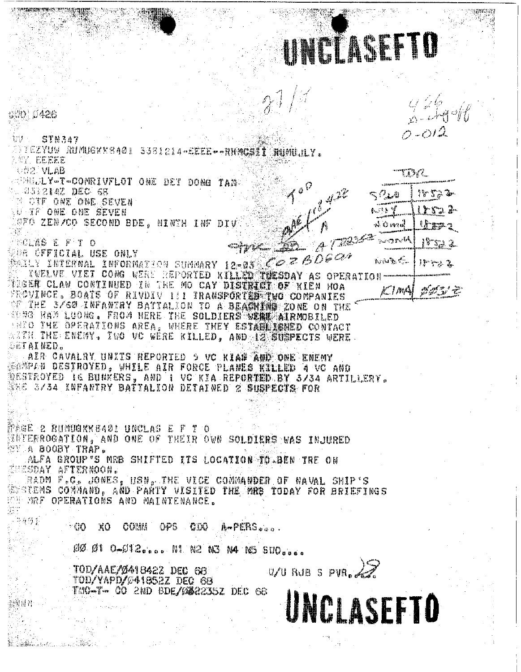UNICLASEFIO end d426 trij STN3a7 TTEZYUW RUMUGKK8401 3381214-EEEE--RHMCSLITHUMUJLY. ANY EEEEE OD2 VLAB 12% Z **CERRULY-T-COMRIVELOT ONE DET DONG TAN** . 233214Z DEC 68 18 53 Jr. **E OTF ONE ONE SEVEN** trya 2-لأنقاض **LU TF ONE ONE SEVEN** OFO ZEN/GO SECOND BDE, NINTH INF DIV  $15.22$ ม่ บิ หาย  $8 - 3242$ **ROLAS E F T O** 200 GFFICIAL USE ONLY King & C  $JFTZ$ TWELVE VIET CONG WERE REPORTED KILLED THESDAY AS OPERATION TISER CLAW CONTINUED IN THE MO CAY DISTRICT OF KIEN HOA ሥ / መረ **FROWNCE. BOATS OF RIVDIV 111 TRANSPORTER TWO COMPANIES** OF THE S/60 INFANTRY BATTALION TO A BEACHING ZONE ON THE SONG HAM LUONG. FROM HERE THE SOLDIERS STERRING ALRMOBILED BEEC THE OPERATIONS AREA, WHERE THEY ESTABLISHED CONTACT WITH THE ENEMY. TWO VC WERE KILLED, AND A SURPECTS WERE. SETAKNED. AIR CAVALRY UNITS REPORTED 5 VC KIAN AUD ONE ENEMY SANPAN DESTROYED. WHILE AIR FORCE PLANES KILLED 4 VC AND DESTROYED IS BUNKERS, AND I VC KIA REPORTED BY 5/34 ARTILLERY. WHE 3/34 INFANTRY DATTALION DETAINED 2 SUSPECTS FOR PAGE 2 RUMURKB401 UNCLAS E F T O **BRYERROGATION, AND ONE OF THEIR OWN SOLDIERS WAS INJURED WY A BOOBY TRAP.** ALFA GROUP'S MRB SHIFTED ITS LOCATION TO DEN TRE ON ESSDAY AFTERNOON. RADM F.C. JONES, HSN, THE VICE COMMANDER OF NAVAL SHIP'S STEEMS COMMAND, AND PARTY VISITED THE MRB TODAY FOR BRIEFINGS **EST MRF OPERATIONS AND MAINTENANCE.** 导弹伤害 A-PERS... - 60 COMM ЖŌ OPS -CDO. 20 01 0-012 ... N1 N2 N3 N4 N5 SUO....  $WU$  RJB S PVR. TOD/AAE/Ø418422 DEC 68 TOD/YAPD/041852Z DEC 68 TAG-T- CO 2ND BDE/M&22352 DEC 68 UNCLASEFTO

**Contract body** and contract the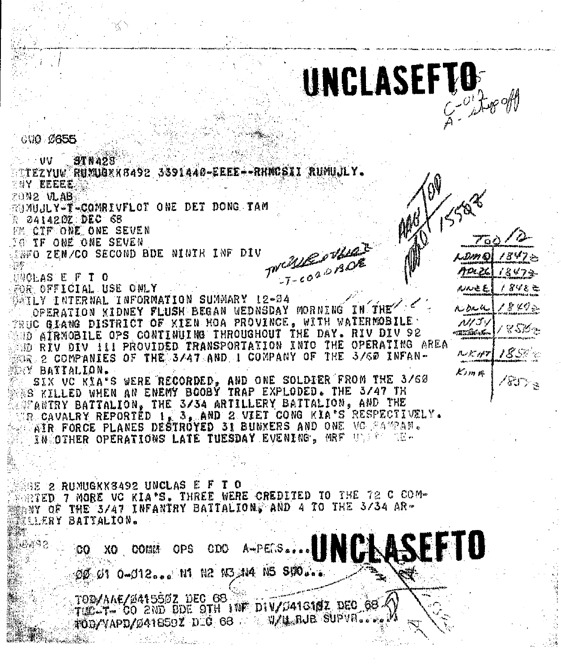

ار وهمدار

ルルきど

Ai Darli

ルクゴッ

omráiní a

ハメリア

ピリッ 川

ノぎびと亡

' & Kクニ

 $8.3\%$ er

 $85\times 10^4$ 

**C10 0655** 

 $\sim 00$ **STN428** TTEZYUW RUMUGRK8492 3391440-EEEE--RHMCSII RUMUJLY. 7NY EEEEE 20N2 VLAB RUNUJLY-T-COMRIVFLOT ONE DET DONG TAM 2 041420Z.DEC 68 FE CIF ONE ONE SEVEN TWCALE PHALE **NO IF ONE ONE SEVEN SENTO ZEN/CO SECOND BDE NINTH INF DIV HOCLAS E F T O** FOR OFFICIAL USE ONLY MATLY INTERNAL INFORMATION SUMMARY 12-04 OPERATION KIDNEY FLUSH BEGAN WEDNSDAY MORNING IN THE PRUC GIANG DISTRICT OF KIEN HOA PROVINCE. WITH WATERMOBILE . NHO AIRMOBILE OPS CONTINUING THROUGHOUT THE DAY. RIV DIV 92 SED RIV DIV ILI PROVIDED TRANSPORTATION INTO THE OPERATING AREA FOR 2 COMPANIES OF THE 3/47 AND I COMPANY OF THE 3/60 INFAN-KRY BATTALION. SIX VC KIA'S WERE RECORDED, AND ONE SOLDIER FROM THE 3/60 AS KILLED WHEN AN ENEMY BOOBY TRAP EXPLODED. THE 3/47 TH **AUFANTRY BATTALION, THE 3/34 ARTILLERY BATTALION, AND THE** WR CAVALRY REPORTED 1, 3, AND 2 VIET CONG KIA'S RESPECTIVELY. AIR FORCE PLANES DESTROYED 31 BUNXERS AND ONE VO SAMPAN. INCOTHER OPERATIONS LATE TUESDAY EVENING, MRF UNFER THE BE 2 RUMUGKK8492 UNCLAS E F T O SETED 7 MORE VC KIA'S. THREE WERE CREDITED TO THE 72 C COM-ANY OF THE 3/47 INFANTRY BATTALION. AND 4 TO THE 3/34 AR-**ELLERY BATTALION.** A-PESS.... UNCAASE 真空る **OPS** XO COMM  $_{\rm GDC}$ OF 01 0-012... N1 N2 N3 N4 N5 SIO... TOD/AAE/241550Z DEC 68 THE T- CO 2ND BDE STH INF DIV/C416182 DEC 68 A

TODYVAPD/Ø41659Z DEC 68 A SUZU BUPVALI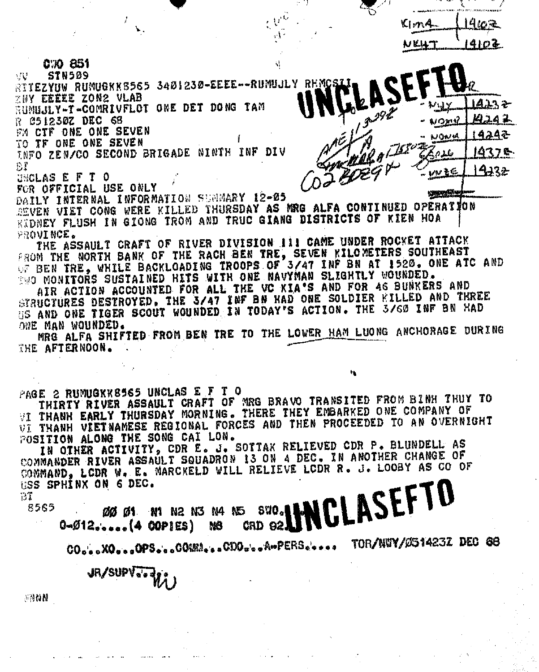|                      | W. AMARINA MAILED AND A TRIMINAL ARTICLE OF TALLOCAL CONSULTING THE |
|----------------------|---------------------------------------------------------------------|
| $\mathbb{R}^N$<br>Y. |                                                                     |
| مشبي                 |                                                                     |

C XX 851

**STN509** ्रा प RITEZYUW RUMUGKK8565 3401230-EEEE--RUMUJLY RHMCSLI ZNY EEEEE ZON2 VLAB 14232 RUNUJLY-T-COMRIVELOT ONE DET DONG TAM R 051230Z DEC 68 איאסי FM CTF ONE ONE SEVEN 10N A TO TF ONE ONE SEVEN  $9^{11550}$ INFO ZEN/CO SECOND BRIGADE NINTH INF DIV طلام 分子 w≹∉ **UNCLAS E F T O** FOR OFFICIAL USE ONLY ツバジャ DAILY INTERNAL INFORMATION SUMMARY 12-05 SEVEN VIET CONG WERE KILLED THURSDAY AS MRG ALFA CONTINUED OPERATION RIDNEY FLUSH IN GIONG TROM AND TRUC GIANG DISTRICTS OF KIEN HOA

PROVINCE. THE ASSAULT CRAFT OF RIVER DIVISION III CAME UNDER ROCKET ATTACK FROM THE NORTH BANK OF THE RACH BEN TRE, SEVEN KILOMETERS SOUTHEAST<br>OF BEN TRE, WHILE BACKLOADING TROOPS OF 3/47 INF BN AT 1520. ONE ATC AND WA MONITORS SUSTAINED HITS WITH ONE NAVYMAN SLIGHTLY WOUNDED.

AIR ACTION ACCOUNTED FOR ALL THE VC KIA'S AND FOR AS BUNKERS AND STRUCTURES DESTROYED. THE 3/47 INF BN HAD ONE SOLDIER KILLED AND THREE US AND ONE TIGER SCOUT WOUNDED IN TODAY'S ACTION. THE 3/60 INF BN HAD ONE MAN WOUNDED.

MRG ALFA SHIFTED FROM BEN TRE TO THE LOWER HAM LUONG ANCHORAGE DURING THE AFTERNOON.

PAGE 2 RUMUGKK8565 UNCLAS E F T O

THIRTY RIVER ASSAULT CRAFT OF MRG BRAVO TRANSITED FROM BINH THUY TO<br>VI THANH EARLY THURSDAY MORNING. THERE THEY EMBARKED ONE COMPANY OF VI THANH VIETNAMESE REGIONAL FORCES AND THEN PROCEEDED TO AN OVERNIGHT POSITION ALONG THE SONG CAI LON.

IN OTHER ACTIVITY, CDR E. J. SOTTAK RELIEVED CDR P. BLUNDELL AS COMMANDER RIVER ASSAULT SQUADRON 13 ON 4 DEC. IN ANOTHER CHANGE OF COMMAND, LODR W. E. MARCKELD WILL RELIEVE LODR R. J. LOOBY AS CO OF USS SPHINX ON 6 DEC.

Εĩ

CLASEFTO 8565 **SVO.** ØØ Ø1 N1 N2 N3 N4 N5  $0 - 012$   $0 - 00115$ ) N8 CRD 92.

TOR/NWY/Ø51423Z DEC 68  $\mathbf{CO}_{\mathbf{w}^{\prime}\mathbf{e}^{-\mathbf{e}}}\mathbf{XO}_{\mathbf{w}^{\prime}\mathbf{e}^{-\mathbf{e}}}\mathbf{OPS}_{\mathbf{w}^{\prime}\mathbf{e}^{-\mathbf{e}}}\mathbf{OOMMA}_{\mathbf{w}^{\prime}\mathbf{e}^{-\mathbf{e}}}\mathbf{O}^{A_{\mathbf{w}^{\prime}}}\mathbf{PERS}_{\mathbf{w}^{\prime}\mathbf{e}^{-\mathbf{e}}\mathbf{e}^{-\mathbf{e}}},$ 

JR/SUPV--28

M085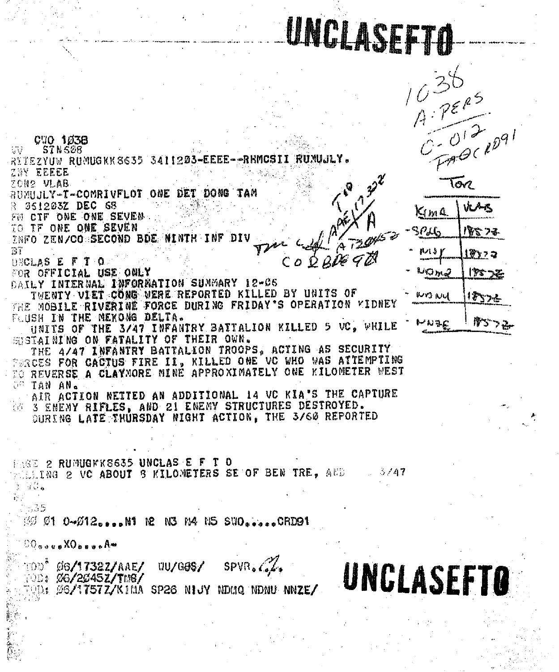### UNCLASER



CWO 1038 STNS08. W RITEZYUW RUMUGKK 8635 3411203-EEEE--RHMCSII ZNY EEEEE তিও プロN2 VLAB. RUMUJLY-T-COMRIVFLOT ONE DET DONG TAM 361203Z DEC 68  $K_{IM}$ 4 FU CIF ONE ONE SEVEN TO IF ONE ONE SEVEN  $P_{ab}$ 2000 ZEN/CO SECOND BDE MINTH INF DIV 77 21 A  $COOQQQQ$ **DECLAS E F T O.** FOR OFFICIAL USE ONLY ペルル DAILY INTERNAL INFORNATION SUNMARY 12-C6 TWENTY VIET CONG WERE REPORTED KILLED BY UNITS OF WORN THE MOBILE RIVERINE FORCE DURING FRIDAY'S OPERATION MIDNEY FLUSH IN THE MEXONG DELTA. **/សនុវ** UNITS OF THE 3/47 INFANTRY BATTALION KILLED 5 VC. WHILE SUSTAINING ON FATALITY OF THEIR OWN. THE 4/47 INFANTRY BATTALION TROOPS. ACTING AS SECURITY TERCES FOR CACTUS FIRE II, KILLED ONE VC WHO WAS ATTEMPTING **C TAN AN.** AIR ACTION NETTED AN ADDITIONAL 14 VC KIA'S THE CAPTURE **6 3 ENEMY RIFLES, AND 21 ENEMY STRUCTURES DESTROYED. OURING LATE THURSDAY NIGHT ACTION. THE 3/60 REPORTED** PAGE 2 RUMUGKK8635 UNCLAS E F T O **MEETNG 2 VC ABOUT 3 KILOMETERS SE OF BEN TRE. AND 1998 3/47** a se is a 2535  $\%$   $\%$   $\%$  1 0- $\%$ 12...RM R N3 N4 N5 SWO....CRD91  $00$ agus $X0$ best $A$ <sup>w</sup> **DD<sup>\*</sup>** Ø6**/17322/AAE/**  $SPVR_{\alpha}$ **WU/G8\$/ UNCLASEFTO TOD: 06/2045Z/TM8/** POD: ØS/1757Z/KIMA SP26 NIJY NDMQ NDNU NNZE/ I

**URAK** 小みこうす 1岁 > コ 175 72  $12334$ 

- -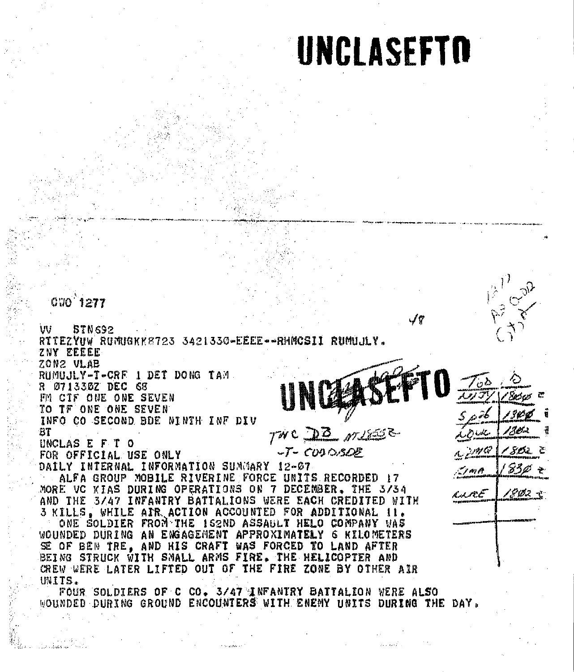#### UNCLASEFTO

**CWO 1277** W **STN692** RTTEZYUW RUMUGKK8723 3421330-EEEE--RHNCSII RUMUJLY. ZNY EEEEE ZON2 VLAB RUMUJLY-T-CRF 1 DET DONG TAM R 071330Z DEC 68 FM CTF ONE ONE SEVEN TO TF ONE ONE SEVEN INFO CO SECOND BDE NINTH INF DIV TWC DB MUSS BT ה יש צי UNCLAS E F T O  $-T-C0000000$ FOR OFFICIAL USE ONLY DAILY INTERNAL INFORMATION SUMMARY 12-07 おうの r ar A ALFA GROUP MOBILE RIVERINE FORCE UNITS RECORDED 17 MORE VC KIAS DURING OPERATIONS ON 7 DECENBER. THE 3/34 تتمشارب AND THE 3/47 INFANTRY BATTALIONS WERE EACH CREDITED WITH 3 KILLS. WHILE AIR ACTION ACCOUNTED FOR ADDITIONAL II. ONE SOLDIER FROM THE IS2ND ASSAULT HELO COMPANY WAS WOUNDED DURING AN ENGAGEMENT APPROXIMATELY 6 KILOMETERS SE OF BEN TRE, AND HIS CRAFT WAS FORCED TO LAND AFTER BEING STRUCK WITH SMALL ARMS FIRE. THE HELICOPTER AND CREW WERE LATER LIFTED OUT OF THE FIRE ZONE BY OTHER AIR UNITS. FOUR SOLDIERS OF C CO. 3/47 INFANTRY BATTALION WERE ALSO WOUNDED DURING GROUND ENCOUNTERS WITH ENEMY UNITS DURING THE DAY.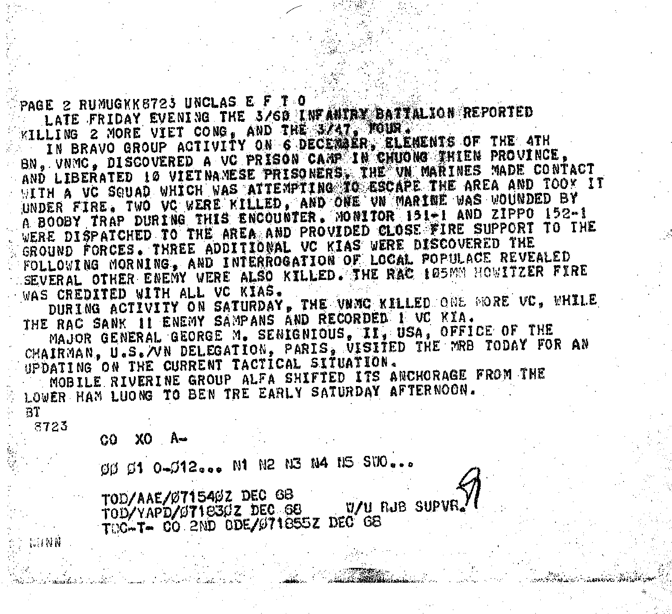PAGE 2 RUMUGKK8723 UNCLAS E F T O LATE FRIDAY EVENING THE 3/60 INFANTAN DATIALION REPORTED

**WILLING 2 MORE VIET CONG, AND THE SALT. TOUR.** IN BRAVO GROUP ACTIVITY ON 6 DECEMBER, ELEMENTS OF THE 4TH BN, VNMC, DISCOVERED A VC PRISON CAMP IN CHUONG THIEN PROVINCE, AND LIBERATED 10 VIETNAMESE PRISONERS. THE VN MARINES MADE CONTACT WITH A VC SOUAD WHICH WAS ATTEMPTING TO ESCAPE THE AREA AND TOOK IT UNDER FIRE. TWO VC WERE KILLED, AND ONE VN MARINE WAS WOUNDED BY A BOOBY TRAP DURING THIS ENCOUNTER. MONITOR 191-1 AND ZIPPO 152-1 WERE DISPATCHED TO THE AREA AND PROVIDED CLOSE FIRE SUPPORT TO THE GROUND FORCES. THREE ADDITIONAL VC KIAS WERE DISCOVERED THE FOLLOWING MORNING, AND INTERROGATION OF LOCAL POPULACE REVEALED SEVERAL OTHER ENEMY WERE ALSO KILLED. THE RAC 105MM HOWITZER FIRE WAS CREDITED WITH ALL VC KIAS.

DURING ACTIVITY ON SATURDAY, THE VANC KILLED ONE MORE VC, WHILE THE RAC SANK II ENEMY SAMPANS AND RECORDED I VC KIA.

MAJOR GENERAL GEORGE M. SENIGNIOUS, II, USA, OFFICE OF THE CHAIRMAN, U.S. WN DELEGATION, PARIS, UISITED THE MRB TODAY FOR AN UPDATING ON THE CURRENT TACTICAL SITUATION. MOBILE RIVERINE GROUP ALFA SHIFTED ITS ANCHORAGE FROM THE LOWER HAM LUONG TO BEN TRE EARLY SATURDAY AFTERNOON.

ar 8723

CO XO A-

OU O1 0-012... N1 N2 N3 N4 N5 SWO...

TOD/AAE/0715402 DEC GB W/U RJB SUPVR. TOD/YAPD/071830Z DEC 68 TOC-T- CO. 2ND ODE/071855Z DEC G8

宗江特诗